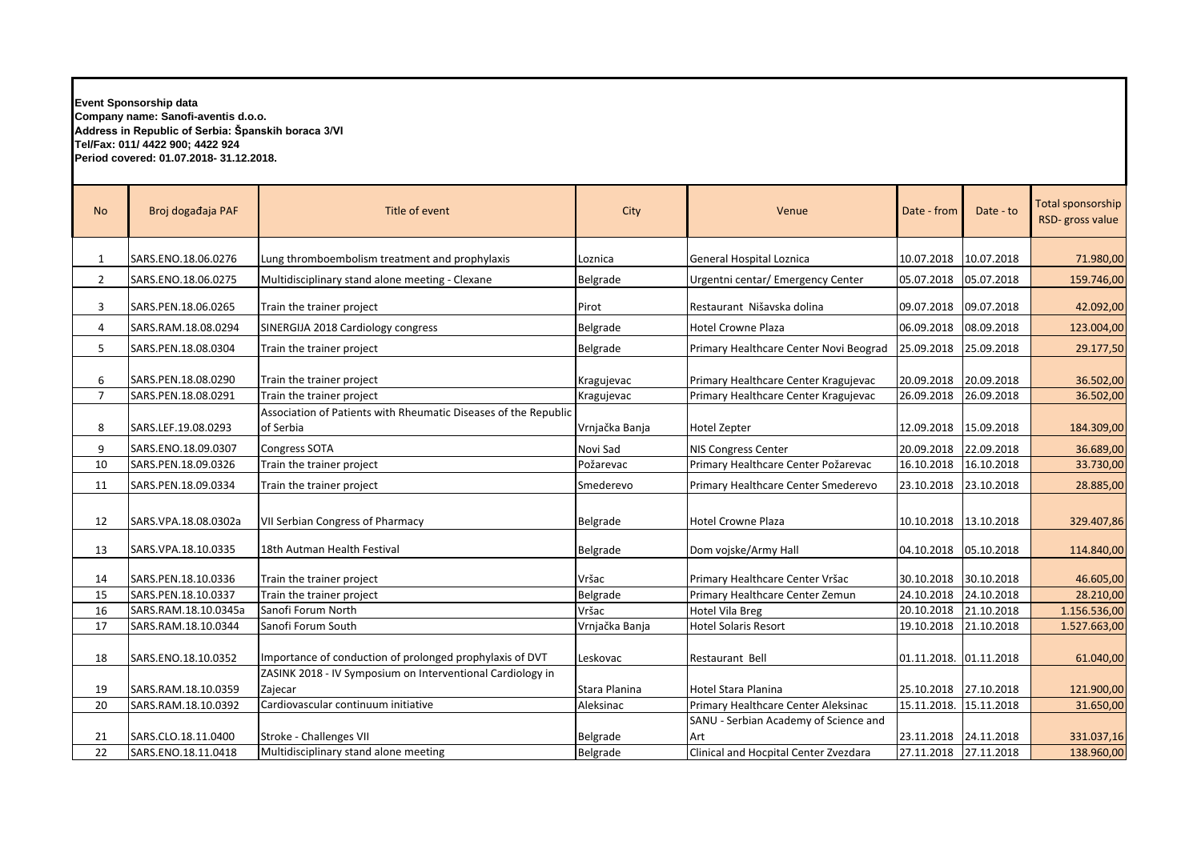**Event Sponsorship data Company name: Sanofi-aventis d.o.o. Address in Republic of Serbia: Španskih boraca 3/VI Tel/Fax: 011/ 4422 900; 4422 924 Period covered: 01.07.2018- 31.12.2018.**

| <b>No</b>           | Broj događaja PAF                           | Title of event                                                               | City                     | Venue                                                                        | Date - from              | Date - to                | Total sponsorship<br>RSD-gross value |
|---------------------|---------------------------------------------|------------------------------------------------------------------------------|--------------------------|------------------------------------------------------------------------------|--------------------------|--------------------------|--------------------------------------|
| 1                   | SARS.ENO.18.06.0276                         | Lung thromboembolism treatment and prophylaxis                               | Loznica                  | General Hospital Loznica                                                     | 10.07.2018               | 10.07.2018               | 71.980,00                            |
| $\overline{2}$      | SARS.ENO.18.06.0275                         | Multidisciplinary stand alone meeting - Clexane                              | Belgrade                 | Urgentni centar/ Emergency Center                                            | 05.07.2018               | 05.07.2018               | 159.746,00                           |
| 3                   | SARS.PEN.18.06.0265                         | Train the trainer project                                                    | Pirot                    | Restaurant Nišavska dolina                                                   | 09.07.2018               | 09.07.2018               | 42.092,00                            |
| 4                   | SARS.RAM.18.08.0294                         | SINERGIJA 2018 Cardiology congress                                           | Belgrade                 | <b>Hotel Crowne Plaza</b>                                                    | 06.09.2018               | 08.09.2018               | 123.004,00                           |
| 5                   | SARS.PEN.18.08.0304                         | Train the trainer project                                                    | Belgrade                 | Primary Healthcare Center Novi Beograd                                       | 25.09.2018               | 25.09.2018               | 29.177,50                            |
| 6<br>$\overline{7}$ | SARS.PEN.18.08.0290<br>SARS.PEN.18.08.0291  | Train the trainer project<br>Train the trainer project                       | Kragujevac<br>Kragujevac | Primary Healthcare Center Kragujevac<br>Primary Healthcare Center Kragujevac | 20.09.2018<br>26.09.2018 | 20.09.2018<br>26.09.2018 | 36.502,00<br>36.502,00               |
| 8                   | SARS.LEF.19.08.0293                         | Association of Patients with Rheumatic Diseases of the Republic<br>of Serbia | Vrnjačka Banja           | <b>Hotel Zepter</b>                                                          | 12.09.2018               | 15.09.2018               | 184.309,00                           |
| 9                   | SARS.ENO.18.09.0307                         | <b>Congress SOTA</b>                                                         | Novi Sad                 | NIS Congress Center                                                          | 20.09.2018               | 22.09.2018               | 36.689,00                            |
| 10                  | SARS.PEN.18.09.0326                         | Train the trainer project                                                    | Požarevac                | Primary Healthcare Center Požarevac                                          | 16.10.2018               | 16.10.2018               | 33.730,00                            |
| 11                  | SARS.PEN.18.09.0334                         | Train the trainer project                                                    | Smederevo                | Primary Healthcare Center Smederevo                                          | 23.10.2018               | 23.10.2018               | 28.885,00                            |
| 12                  | SARS.VPA.18.08.0302a                        | <b>VII Serbian Congress of Pharmacy</b>                                      | Belgrade                 | <b>Hotel Crowne Plaza</b>                                                    | 10.10.2018 13.10.2018    |                          | 329.407,86                           |
| 13                  | SARS.VPA.18.10.0335                         | 18th Autman Health Festival                                                  | Belgrade                 | Dom vojske/Army Hall                                                         | 04.10.2018  05.10.2018   |                          | 114.840,00                           |
| 14                  | SARS.PEN.18.10.0336                         | Train the trainer project                                                    | Vršac                    | Primary Healthcare Center Vršac                                              | 30.10.2018               | 30.10.2018               | 46.605,00                            |
| 15                  | SARS.PEN.18.10.0337                         | Train the trainer project                                                    | Belgrade                 | Primary Healthcare Center Zemun                                              | 24.10.2018               | 24.10.2018               | 28.210,00                            |
| 16<br>17            | SARS.RAM.18.10.0345a<br>SARS.RAM.18.10.0344 | Sanofi Forum North<br>Sanofi Forum South                                     | Vršac<br>Vrnjačka Banja  | <b>Hotel Vila Breg</b><br><b>Hotel Solaris Resort</b>                        | 20.10.2018<br>19.10.2018 | 21.10.2018<br>21.10.2018 | 1.156.536,00<br>1.527.663,00         |
|                     |                                             |                                                                              |                          |                                                                              |                          |                          |                                      |
| 18                  | SARS.ENO.18.10.0352                         | Importance of conduction of prolonged prophylaxis of DVT                     | Leskovac                 | Restaurant Bell                                                              | 01.11.2018. 01.11.2018   |                          | 61.040,00                            |
| 19                  | SARS.RAM.18.10.0359                         | ZASINK 2018 - IV Symposium on Interventional Cardiology in<br>Zajecar        | Stara Planina            | Hotel Stara Planina                                                          | 25.10.2018               | 27.10.2018               | 121.900,00                           |
| 20                  | SARS.RAM.18.10.0392                         | Cardiovascular continuum initiative                                          | Aleksinac                | Primary Healthcare Center Aleksinac                                          | 15.11.2018.              | 15.11.2018               | 31.650,00                            |
| 21                  | SARS.CLO.18.11.0400                         | Stroke - Challenges VII                                                      | Belgrade                 | SANU - Serbian Academy of Science and<br>Art                                 | 23.11.2018 24.11.2018    |                          | 331.037,16                           |
| 22                  | SARS.ENO.18.11.0418                         | Multidisciplinary stand alone meeting                                        | Belgrade                 | Clinical and Hocpital Center Zvezdara                                        | 27.11.2018               | 27.11.2018               | 138.960,00                           |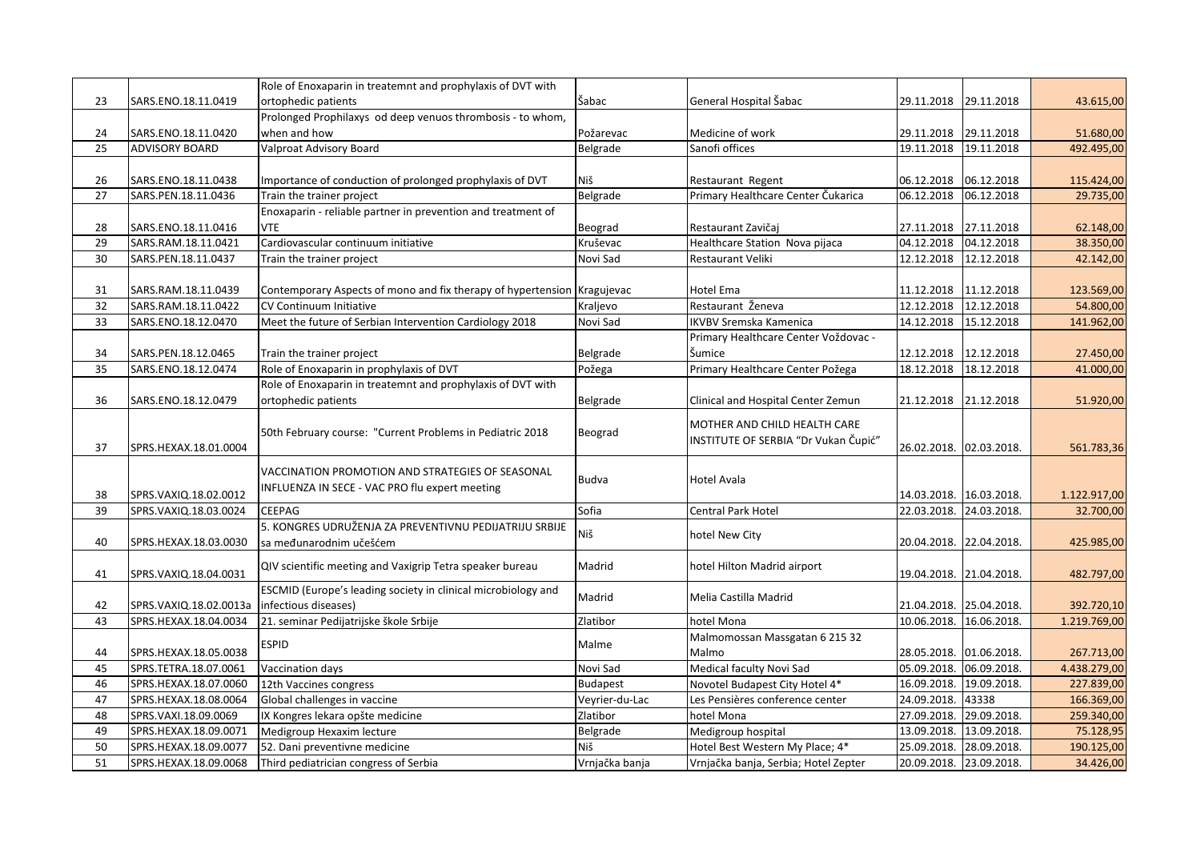|    |                        | Role of Enoxaparin in treatemnt and prophylaxis of DVT with   |                 |                                      |             |                         |              |
|----|------------------------|---------------------------------------------------------------|-----------------|--------------------------------------|-------------|-------------------------|--------------|
| 23 | SARS.ENO.18.11.0419    | ortophedic patients                                           | Šabac           | General Hospital Šabac               | 29.11.2018  | 29.11.2018              | 43.615,00    |
|    |                        | Prolonged Prophilaxys od deep venuos thrombosis - to whom,    |                 |                                      |             |                         |              |
| 24 | SARS.ENO.18.11.0420    | when and how                                                  | Požarevac       | Medicine of work                     | 29.11.2018  | 29.11.2018              | 51.680,00    |
| 25 | <b>ADVISORY BOARD</b>  | Valproat Advisory Board                                       | Belgrade        | Sanofi offices                       | 19.11.2018  | 19.11.2018              | 492.495,00   |
|    |                        |                                                               |                 |                                      |             |                         |              |
| 26 | SARS.ENO.18.11.0438    | Importance of conduction of prolonged prophylaxis of DVT      | Niš             | Restaurant Regent                    | 06.12.2018  | 06.12.2018              | 115.424,00   |
| 27 | SARS.PEN.18.11.0436    | Train the trainer project                                     | Belgrade        | Primary Healthcare Center Čukarica   | 06.12.2018  | 06.12.2018              | 29.735,00    |
|    |                        | Enoxaparin - reliable partner in prevention and treatment of  |                 |                                      |             |                         |              |
| 28 | SARS.ENO.18.11.0416    | <b>VTE</b>                                                    | Beograd         | Restaurant Zavičaj                   | 27.11.2018  | 27.11.2018              | 62.148,00    |
| 29 |                        | Cardiovascular continuum initiative                           | Kruševac        |                                      | 04.12.2018  | 04.12.2018              |              |
|    | SARS.RAM.18.11.0421    |                                                               |                 | Healthcare Station Nova pijaca       |             |                         | 38.350,00    |
| 30 | SARS.PEN.18.11.0437    | Train the trainer project                                     | Novi Sad        | Restaurant Veliki                    |             | 12.12.2018 12.12.2018   | 42.142,00    |
|    |                        |                                                               |                 |                                      |             |                         |              |
| 31 | SARS.RAM.18.11.0439    | Contemporary Aspects of mono and fix therapy of hypertension  | Kragujevac      | <b>Hotel Ema</b>                     | 11.12.2018  | 11.12.2018              | 123.569,00   |
| 32 | SARS.RAM.18.11.0422    | CV Continuum Initiative                                       | Kraljevo        | Restaurant Ženeva                    | 12.12.2018  | 12.12.2018              | 54.800,00    |
| 33 | SARS.ENO.18.12.0470    | Meet the future of Serbian Intervention Cardiology 2018       | Novi Sad        | <b>IKVBV Sremska Kamenica</b>        | 14.12.2018  | 15.12.2018              | 141.962,00   |
|    |                        |                                                               |                 | Primary Healthcare Center Voždovac - |             |                         |              |
| 34 | SARS.PEN.18.12.0465    | Train the trainer project                                     | Belgrade        | Šumice                               |             | 12.12.2018 12.12.2018   | 27.450,00    |
| 35 | SARS.ENO.18.12.0474    | Role of Enoxaparin in prophylaxis of DVT                      | Požega          | Primary Healthcare Center Požega     | 18.12.2018  | 18.12.2018              | 41.000,00    |
|    |                        | Role of Enoxaparin in treatemnt and prophylaxis of DVT with   |                 |                                      |             |                         |              |
| 36 | SARS.ENO.18.12.0479    | ortophedic patients                                           | Belgrade        | Clinical and Hospital Center Zemun   | 21.12.2018  | 21.12.2018              | 51.920,00    |
|    |                        |                                                               |                 |                                      |             |                         |              |
|    |                        | 50th February course: "Current Problems in Pediatric 2018     | Beograd         | MOTHER AND CHILD HEALTH CARE         |             |                         |              |
| 37 | SPRS.HEXAX.18.01.0004  |                                                               |                 | INSTITUTE OF SERBIA "Dr Vukan Čupić" |             | 26.02.2018. 02.03.2018. | 561.783,36   |
|    |                        |                                                               |                 |                                      |             |                         |              |
|    |                        | VACCINATION PROMOTION AND STRATEGIES OF SEASONAL              | Budva           | Hotel Avala                          |             |                         |              |
| 38 | SPRS.VAXIQ.18.02.0012  | INFLUENZA IN SECE - VAC PRO flu expert meeting                |                 |                                      |             | 14.03.2018. 16.03.2018. | 1.122.917,00 |
| 39 | SPRS.VAXIQ.18.03.0024  | <b>CEEPAG</b>                                                 | Sofia           | Central Park Hotel                   |             | 22.03.2018. 24.03.2018. | 32.700,00    |
|    |                        | 5. KONGRES UDRUŽENJA ZA PREVENTIVNU PEDIJATRIJU SRBIJE        |                 |                                      |             |                         |              |
| 40 | SPRS.HEXAX.18.03.0030  | sa međunarodnim učešćem                                       | Niš             | hotel New City                       |             | 20.04.2018. 22.04.2018. | 425.985,00   |
|    |                        |                                                               |                 |                                      |             |                         |              |
| 41 | SPRS.VAXIQ.18.04.0031  | QIV scientific meeting and Vaxigrip Tetra speaker bureau      | Madrid          | hotel Hilton Madrid airport          |             | 19.04.2018. 21.04.2018. | 482.797,00   |
|    |                        | ESCMID (Europe's leading society in clinical microbiology and |                 |                                      |             |                         |              |
| 42 | SPRS.VAXIQ.18.02.0013a | infectious diseases)                                          | Madrid          | Melia Castilla Madrid                |             | 21.04.2018. 25.04.2018. | 392.720,10   |
| 43 | SPRS.HEXAX.18.04.0034  | 21. seminar Pedijatrijske škole Srbije                        | Zlatibor        | hotel Mona                           |             | 10.06.2018. 16.06.2018. | 1.219.769,00 |
|    |                        |                                                               |                 |                                      |             |                         |              |
|    |                        | <b>ESPID</b>                                                  | Malme           | Malmomossan Massgatan 6 215 32       |             |                         |              |
| 44 | SPRS.HEXAX.18.05.0038  |                                                               |                 | Malmo                                |             | 28.05.2018. 01.06.2018. | 267.713,00   |
| 45 | SPRS.TETRA.18.07.0061  | Vaccination days                                              | Novi Sad        | Medical faculty Novi Sad             |             | 05.09.2018. 06.09.2018. | 4.438.279,00 |
| 46 | SPRS.HEXAX.18.07.0060  | 12th Vaccines congress                                        | <b>Budapest</b> | Novotel Budapest City Hotel 4*       |             | 16.09.2018. 19.09.2018. | 227.839,00   |
| 47 | SPRS.HEXAX.18.08.0064  | Global challenges in vaccine                                  | Veyrier-du-Lac  | Les Pensières conference center      | 24.09.2018. | 43338                   | 166.369,00   |
| 48 | SPRS.VAXI.18.09.0069   | IX Kongres lekara opšte medicine                              | Zlatibor        | hotel Mona                           |             | 27.09.2018. 29.09.2018. | 259.340,00   |
| 49 | SPRS.HEXAX.18.09.0071  | Medigroup Hexaxim lecture                                     | Belgrade        | Medigroup hospital                   |             | 13.09.2018. 13.09.2018. | 75.128,95    |
| 50 | SPRS.HEXAX.18.09.0077  | 52. Dani preventivne medicine                                 | Niš             | Hotel Best Western My Place; 4*      |             | 25.09.2018. 28.09.2018. | 190.125,00   |
| 51 | SPRS.HEXAX.18.09.0068  | Third pediatrician congress of Serbia                         | Vrnjačka banja  | Vrnjačka banja, Serbia; Hotel Zepter |             | 20.09.2018. 23.09.2018. | 34.426,00    |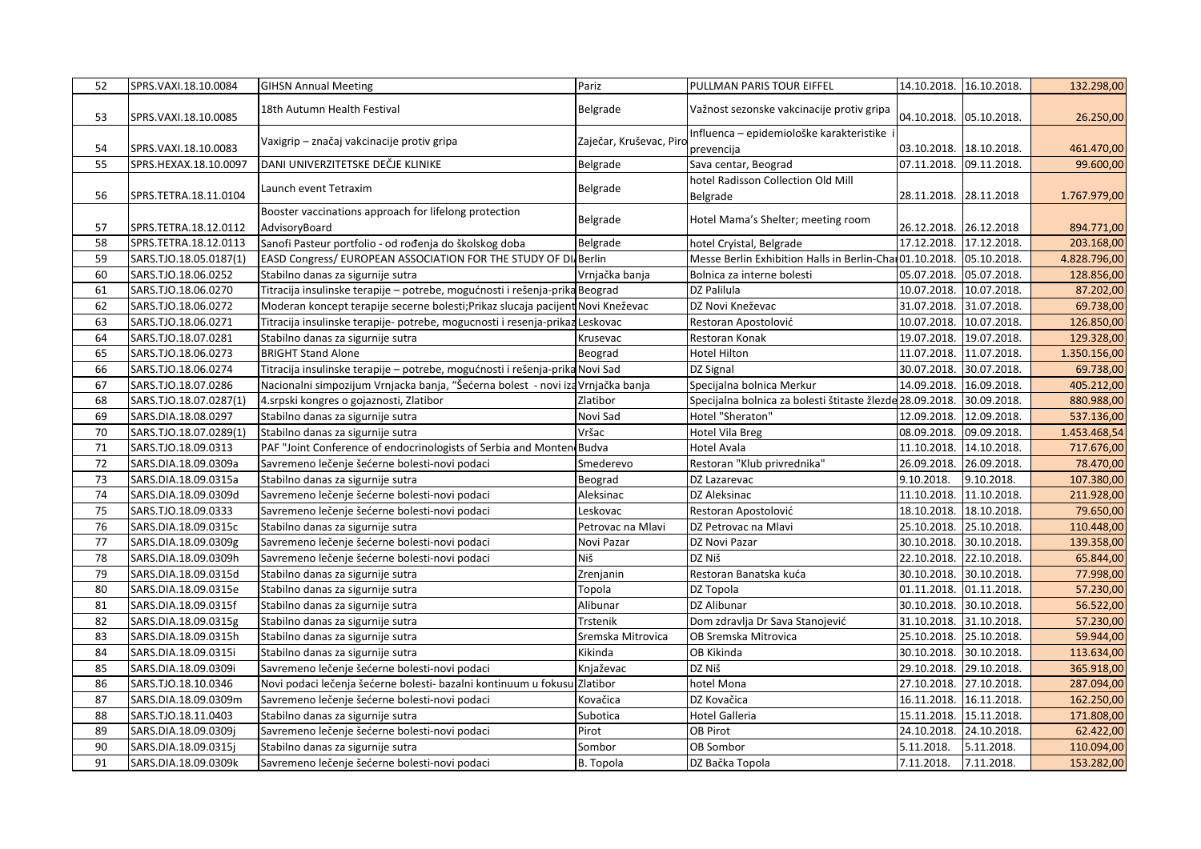| 52 | SPRS.VAXI.18.10.0084   | <b>GIHSN Annual Meeting</b>                                                     | Pariz                  | PULLMAN PARIS TOUR EIFFEL                                             |             | 14.10.2018. 16.10.2018. | 132.298,00   |
|----|------------------------|---------------------------------------------------------------------------------|------------------------|-----------------------------------------------------------------------|-------------|-------------------------|--------------|
| 53 | SPRS.VAXI.18.10.0085   | 18th Autumn Health Festival                                                     | Belgrade               | Važnost sezonske vakcinacije protiv gripa                             |             | 04.10.2018. 05.10.2018. | 26.250,00    |
|    |                        | Vaxigrip - značaj vakcinacije protiv gripa                                      | Zaječar, Kruševac, Pir | Influenca – epidemiološke karakteristike                              |             |                         |              |
| 54 | SPRS.VAXI.18.10.0083   |                                                                                 |                        | prevencija                                                            | 03.10.2018. | 18.10.2018.             | 461.470,00   |
| 55 | SPRS.HEXAX.18.10.0097  | DANI UNIVERZITETSKE DEČJE KLINIKE                                               | Belgrade               | Sava centar, Beograd                                                  |             | 07.11.2018. 09.11.2018. | 99.600,00    |
|    |                        | Launch event Tetraxim                                                           | Belgrade               | hotel Radisson Collection Old Mill                                    |             |                         |              |
| 56 | SPRS.TETRA.18.11.0104  |                                                                                 |                        | Belgrade                                                              |             | 28.11.2018. 28.11.2018  | 1.767.979,00 |
|    |                        | Booster vaccinations approach for lifelong protection                           | Belgrade               | Hotel Mama's Shelter; meeting room                                    |             |                         |              |
| 57 | SPRS.TETRA.18.12.0112  | AdvisoryBoard                                                                   |                        |                                                                       | 26.12.2018. | 26.12.2018              | 894.771,00   |
| 58 | SPRS.TETRA.18.12.0113  | Sanofi Pasteur portfolio - od rođenja do školskog doba                          | Belgrade               | hotel Cryistal, Belgrade                                              |             | 17.12.2018. 17.12.2018. | 203.168,00   |
| 59 | SARS.TJO.18.05.0187(1) | EASD Congress/ EUROPEAN ASSOCIATION FOR THE STUDY OF DI Berlin                  |                        | Messe Berlin Exhibition Halls in Berlin-Char01.10.2018. 05.10.2018.   |             |                         | 4.828.796,00 |
| 60 | SARS.TJO.18.06.0252    | Stabilno danas za sigurnije sutra                                               | Vrnjačka banja         | Bolnica za interne bolesti                                            |             | 05.07.2018. 05.07.2018. | 128.856,00   |
| 61 | SARS.TJO.18.06.0270    | Titracija insulinske terapije - potrebe, mogućnosti i rešenja-prika Beograd     |                        | DZ Palilula                                                           | 10.07.2018. | 10.07.2018.             | 87.202,00    |
| 62 | SARS.TJO.18.06.0272    | Moderan koncept terapije secerne bolesti; Prikaz slucaja pacijent Novi Kneževac |                        | DZ Novi Kneževac                                                      |             | 31.07.2018. 31.07.2018. | 69.738,00    |
| 63 | SARS.TJO.18.06.0271    | Titracija insulinske terapije- potrebe, mogucnosti i resenja-prikaz Leskovac    |                        | Restoran Apostolović                                                  |             | 10.07.2018. 10.07.2018. | 126.850,00   |
| 64 | SARS.TJO.18.07.0281    | Stabilno danas za sigurnije sutra                                               | Krusevac               | Restoran Konak                                                        |             | 19.07.2018. 19.07.2018. | 129.328,00   |
| 65 | SARS.TJO.18.06.0273    | <b>BRIGHT Stand Alone</b>                                                       | Beograd                | <b>Hotel Hilton</b>                                                   |             | 11.07.2018. 11.07.2018. | 1.350.156,00 |
| 66 | SARS.TJO.18.06.0274    | Titracija insulinske terapije – potrebe, mogućnosti i rešenja-prika Novi Sad    |                        | DZ Signal                                                             | 30.07.2018. | 30.07.2018.             | 69.738,00    |
| 67 | SARS.TJO.18.07.0286    | Nacionalni simpozijum Vrnjacka banja, "Šećerna bolest - novi iza Vrnjačka banja |                        | Specijalna bolnica Merkur                                             | 14.09.2018. | 16.09.2018.             | 405.212,00   |
| 68 | SARS.TJO.18.07.0287(1) | 4. srpski kongres o gojaznosti, Zlatibor                                        | Zlatibor               | Specijalna bolnica za bolesti štitaste žlezde 28.09.2018. 30.09.2018. |             |                         | 880.988,00   |
| 69 | SARS.DIA.18.08.0297    | Stabilno danas za sigurnije sutra                                               | Novi Sad               | Hotel "Sheraton"                                                      |             | 12.09.2018. 12.09.2018. | 537.136,00   |
| 70 | SARS.TJO.18.07.0289(1) | Stabilno danas za sigurnije sutra                                               | Vršac                  | <b>Hotel Vila Breg</b>                                                | 08.09.2018. | 09.09.2018.             | 1.453.468,54 |
| 71 | SARS.TJO.18.09.0313    | PAF "Joint Conference of endocrinologists of Serbia and Monten Budva            |                        | Hotel Avala                                                           | 11.10.2018. | 14.10.2018.             | 717.676,00   |
| 72 | SARS.DIA.18.09.0309a   | Savremeno lečenje šećerne bolesti-novi podaci                                   | Smederevo              | Restoran "Klub privrednika"                                           | 26.09.2018. | 26.09.2018.             | 78.470,00    |
| 73 | SARS.DIA.18.09.0315a   | Stabilno danas za sigurnije sutra                                               | Beograd                | DZ Lazarevac                                                          | 9.10.2018.  | 9.10.2018.              | 107.380,00   |
| 74 | SARS.DIA.18.09.0309d   | Savremeno lečenje šećerne bolesti-novi podaci                                   | Aleksinac              | DZ Aleksinac                                                          |             | 11.10.2018. 11.10.2018. | 211.928,00   |
| 75 | SARS.TJO.18.09.0333    | Savremeno lečenje šećerne bolesti-novi podaci                                   | Leskovac               | Restoran Apostolović                                                  | 18.10.2018. | 18.10.2018.             | 79.650,00    |
| 76 | SARS.DIA.18.09.0315c   | Stabilno danas za sigurnije sutra                                               | Petrovac na Mlavi      | DZ Petrovac na Mlavi                                                  | 25.10.2018. | 25.10.2018.             | 110.448,00   |
| 77 | SARS.DIA.18.09.0309g   | Savremeno lečenje šećerne bolesti-novi podaci                                   | Novi Pazar             | DZ Novi Pazar                                                         | 30.10.2018. | 30.10.2018.             | 139.358,00   |
| 78 | SARS.DIA.18.09.0309h   | Savremeno lečenje šećerne bolesti-novi podaci                                   | Niš                    | DZ Niš                                                                |             | 22.10.2018. 22.10.2018. | 65.844,00    |
| 79 | SARS.DIA.18.09.0315d   | Stabilno danas za sigurnije sutra                                               | Zrenjanin              | Restoran Banatska kuća                                                |             | 30.10.2018. 30.10.2018. | 77.998,00    |
| 80 | SARS.DIA.18.09.0315e   | Stabilno danas za sigurnije sutra                                               | Topola                 | DZ Topola                                                             |             | 01.11.2018. 01.11.2018. | 57.230,00    |
| 81 | SARS.DIA.18.09.0315f   | Stabilno danas za sigurnije sutra                                               | Alibunar               | DZ Alibunar                                                           |             | 30.10.2018. 30.10.2018. | 56.522,00    |
| 82 | SARS.DIA.18.09.0315g   | Stabilno danas za sigurnije sutra                                               | Trstenik               | Dom zdravlja Dr Sava Stanojević                                       |             | 31.10.2018. 31.10.2018. | 57.230,00    |
| 83 | SARS.DIA.18.09.0315h   | Stabilno danas za sigurnije sutra                                               | Sremska Mitrovica      | OB Sremska Mitrovica                                                  |             | 25.10.2018. 25.10.2018. | 59.944,00    |
| 84 | SARS.DIA.18.09.0315i   | Stabilno danas za sigurnije sutra                                               | Kikinda                | OB Kikinda                                                            |             | 30.10.2018. 30.10.2018. | 113.634,00   |
| 85 | SARS.DIA.18.09.0309i   | Savremeno lečenje šećerne bolesti-novi podaci                                   | Knjaževac              | DZ Niš                                                                |             | 29.10.2018. 29.10.2018. | 365.918,00   |
| 86 | SARS.TJO.18.10.0346    | Novi podaci lečenja šećerne bolesti- bazalni kontinuum u fokusu Zlatibor        |                        | hotel Mona                                                            |             | 27.10.2018. 27.10.2018. | 287.094,00   |
| 87 | SARS.DIA.18.09.0309m   | Savremeno lečenje šećerne bolesti-novi podaci                                   | Kovačica               | DZ Kovačica                                                           |             | 16.11.2018. 16.11.2018. | 162.250,00   |
| 88 | SARS.TJO.18.11.0403    | Stabilno danas za sigurnije sutra                                               | Subotica               | <b>Hotel Galleria</b>                                                 |             | 15.11.2018. 15.11.2018. | 171.808,00   |
| 89 | SARS.DIA.18.09.0309j   | Savremeno lečenje šećerne bolesti-novi podaci                                   | Pirot                  | <b>OB Pirot</b>                                                       |             | 24.10.2018. 24.10.2018. | 62.422,00    |
| 90 | SARS.DIA.18.09.0315j   | Stabilno danas za sigurnije sutra                                               | Sombor                 | <b>OB Sombor</b>                                                      | 5.11.2018.  | 5.11.2018.              | 110.094,00   |
| 91 | SARS.DIA.18.09.0309k   | Savremeno lečenje šećerne bolesti-novi podaci                                   | B. Topola              | DZ Bačka Topola                                                       | 7.11.2018.  | 7.11.2018.              | 153.282,00   |